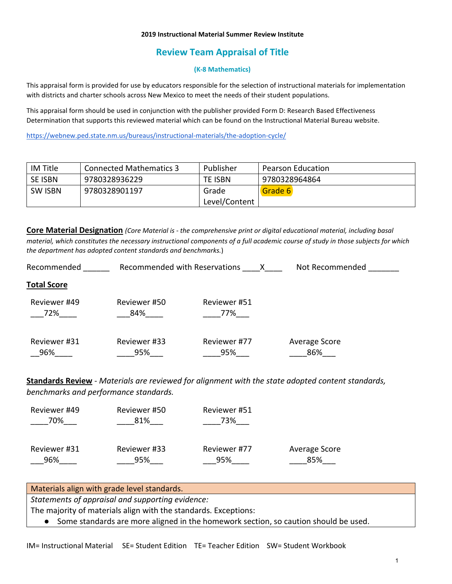#### **2019 Instructional Material Summer Review Institute**

## **Review Team Appraisal of Title**

#### **(K-8 Mathematics)**

This appraisal form is provided for use by educators responsible for the selection of instructional materials for implementation with districts and charter schools across New Mexico to meet the needs of their student populations.

This appraisal form should be used in conjunction with the publisher provided Form D: Research Based Effectiveness Determination that supports this reviewed material which can be found on the Instructional Material Bureau website.

<https://webnew.ped.state.nm.us/bureaus/instructional-materials/the-adoption-cycle/>

| IM Title       | <b>Connected Mathematics 3</b> | Publisher     | <b>Pearson Education</b> |
|----------------|--------------------------------|---------------|--------------------------|
| SE ISBN        | 9780328936229                  | TE ISBN       | 9780328964864            |
| <b>SW ISBN</b> | 9780328901197                  | Grade         | Grade 6                  |
|                |                                | Level/Content |                          |

**Core Material Designation** *(Core Material is - the comprehensive print or digital educational material, including basal material, which constitutes the necessary instructional components of a full academic course of study in those subjects for which the department has adopted content standards and benchmarks.*)

| Recommended        | Recommended with Reservations |              | Not Recommended |
|--------------------|-------------------------------|--------------|-----------------|
| <b>Total Score</b> |                               |              |                 |
| Reviewer #49       | Reviewer #50                  | Reviewer #51 |                 |
| 72%                | 84%                           | 77%          |                 |
| Reviewer #31       | Reviewer #33                  | Reviewer #77 | Average Score   |
| 96%                | 95%                           | 95%          | 86%             |

**Standards Review** - *Materials are reviewed for alignment with the state adopted content standards, benchmarks and performance standards.*

| Reviewer #49 | Reviewer #50 | Reviewer #51 |               |
|--------------|--------------|--------------|---------------|
| 70%          | 81%          | 73%          |               |
|              |              |              |               |
| Reviewer #31 | Reviewer #33 | Reviewer #77 | Average Score |
| 96%          | 95%          | 95%          | 85%           |

| Materials align with grade level standards.                                           |
|---------------------------------------------------------------------------------------|
| Statements of appraisal and supporting evidence:                                      |
| The majority of materials align with the standards. Exceptions:                       |
| • Some standards are more aligned in the homework section, so caution should be used. |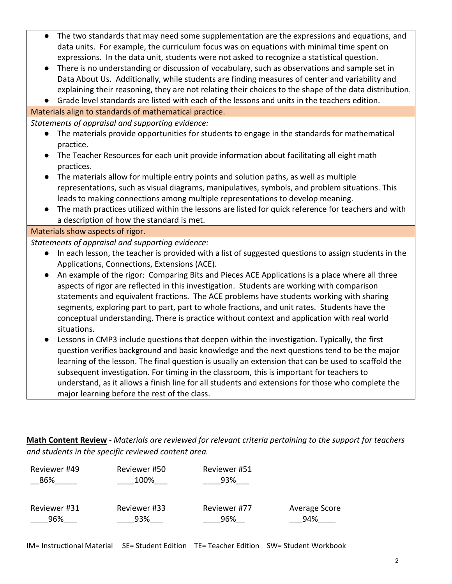- The two standards that may need some supplementation are the expressions and equations, and data units. For example, the curriculum focus was on equations with minimal time spent on expressions. In the data unit, students were not asked to recognize a statistical question.
- There is no understanding or discussion of vocabulary, such as observations and sample set in Data About Us. Additionally, while students are finding measures of center and variability and explaining their reasoning, they are not relating their choices to the shape of the data distribution.
- Grade level standards are listed with each of the lessons and units in the teachers edition.

Materials align to standards of mathematical practice.

*Statements of appraisal and supporting evidence:*

- The materials provide opportunities for students to engage in the standards for mathematical practice.
- The Teacher Resources for each unit provide information about facilitating all eight math practices.
- The materials allow for multiple entry points and solution paths, as well as multiple representations, such as visual diagrams, manipulatives, symbols, and problem situations. This leads to making connections among multiple representations to develop meaning.
- The math practices utilized within the lessons are listed for quick reference for teachers and with a description of how the standard is met.

Materials show aspects of rigor.

*Statements of appraisal and supporting evidence:*

- In each lesson, the teacher is provided with a list of suggested questions to assign students in the Applications, Connections, Extensions (ACE).
- An example of the rigor: Comparing Bits and Pieces ACE Applications is a place where all three aspects of rigor are reflected in this investigation. Students are working with comparison statements and equivalent fractions. The ACE problems have students working with sharing segments, exploring part to part, part to whole fractions, and unit rates. Students have the conceptual understanding. There is practice without context and application with real world situations.
- Lessons in CMP3 include questions that deepen within the investigation. Typically, the first question verifies background and basic knowledge and the next questions tend to be the major learning of the lesson. The final question is usually an extension that can be used to scaffold the subsequent investigation. For timing in the classroom, this is important for teachers to understand, as it allows a finish line for all students and extensions for those who complete the major learning before the rest of the class.

**Math Content Review** - *Materials are reviewed for relevant criteria pertaining to the support for teachers and students in the specific reviewed content area.*

| Reviewer #49 | Reviewer #50 | Reviewer #51 |               |
|--------------|--------------|--------------|---------------|
| 86%          | 100%         | 93%          |               |
|              |              |              |               |
| Reviewer #31 | Reviewer #33 | Reviewer #77 | Average Score |
| 96%          | 93%          | 96%          | 94%           |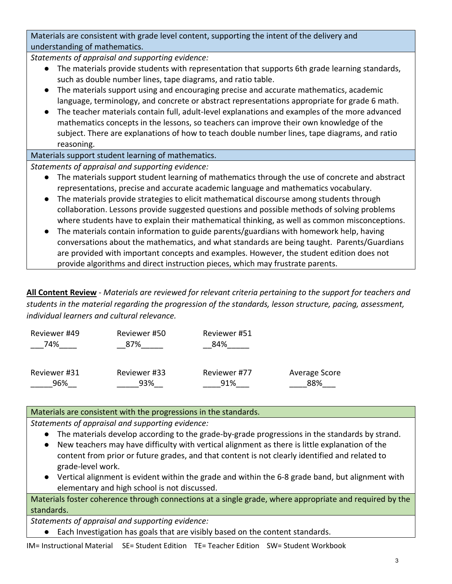Materials are consistent with grade level content, supporting the intent of the delivery and understanding of mathematics.

*Statements of appraisal and supporting evidence:*

- The materials provide students with representation that supports 6th grade learning standards, such as double number lines, tape diagrams, and ratio table.
- The materials support using and encouraging precise and accurate mathematics, academic language, terminology, and concrete or abstract representations appropriate for grade 6 math.
- The teacher materials contain full, adult-level explanations and examples of the more advanced mathematics concepts in the lessons, so teachers can improve their own knowledge of the subject. There are explanations of how to teach double number lines, tape diagrams, and ratio reasoning.

Materials support student learning of mathematics.

*Statements of appraisal and supporting evidence:*

- The materials support student learning of mathematics through the use of concrete and abstract representations, precise and accurate academic language and mathematics vocabulary.
- The materials provide strategies to elicit mathematical discourse among students through collaboration. Lessons provide suggested questions and possible methods of solving problems where students have to explain their mathematical thinking, as well as common misconceptions.
- The materials contain information to guide parents/guardians with homework help, having conversations about the mathematics, and what standards are being taught. Parents/Guardians are provided with important concepts and examples. However, the student edition does not provide algorithms and direct instruction pieces, which may frustrate parents.

**All Content Review** - *Materials are reviewed for relevant criteria pertaining to the support for teachers and students in the material regarding the progression of the standards, lesson structure, pacing, assessment, individual learners and cultural relevance.*

| Reviewer #49 | Reviewer #50 | Reviewer #51 |               |
|--------------|--------------|--------------|---------------|
| 74%          | 87%          | 84%          |               |
| Reviewer #31 | Reviewer #33 | Reviewer #77 | Average Score |
| 96%          | 93%          | 91%          | 88%           |

# Materials are consistent with the progressions in the standards.

*Statements of appraisal and supporting evidence:*

- The materials develop according to the grade-by-grade progressions in the standards by strand.
- New teachers may have difficulty with vertical alignment as there is little explanation of the content from prior or future grades, and that content is not clearly identified and related to grade-level work.
- Vertical alignment is evident within the grade and within the 6-8 grade band, but alignment with elementary and high school is not discussed.

Materials foster coherence through connections at a single grade, where appropriate and required by the standards.

*Statements of appraisal and supporting evidence:*

● Each Investigation has goals that are visibly based on the content standards.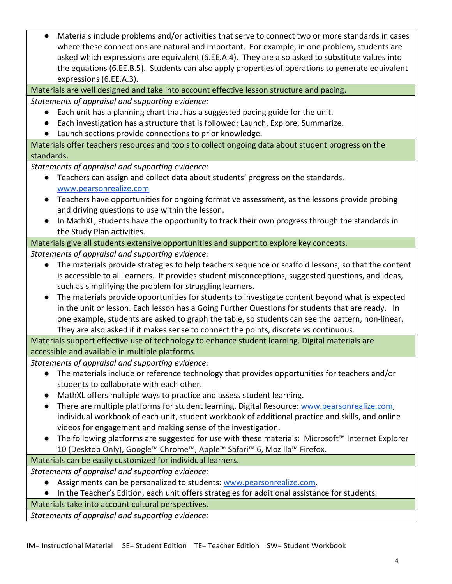● Materials include problems and/or activities that serve to connect two or more standards in cases where these connections are natural and important. For example, in one problem, students are asked which expressions are equivalent (6.EE.A.4). They are also asked to substitute values into the equations (6.EE.B.5). Students can also apply properties of operations to generate equivalent expressions (6.EE.A.3).

Materials are well designed and take into account effective lesson structure and pacing.

*Statements of appraisal and supporting evidence:*

- Each unit has a planning chart that has a suggested pacing guide for the unit.
- Each investigation has a structure that is followed: Launch, Explore, Summarize.
- Launch sections provide connections to prior knowledge.

Materials offer teachers resources and tools to collect ongoing data about student progress on the standards.

*Statements of appraisal and supporting evidence:*

- Teachers can assign and collect data about students' progress on the standards. [www.pearsonrealize.com](http://www.pearsonrealize.com/)
- Teachers have opportunities for ongoing formative assessment, as the lessons provide probing and driving questions to use within the lesson.
- In MathXL, students have the opportunity to track their own progress through the standards in the Study Plan activities.

Materials give all students extensive opportunities and support to explore key concepts.

*Statements of appraisal and supporting evidence:*

- The materials provide strategies to help teachers sequence or scaffold lessons, so that the content is accessible to all learners. It provides student misconceptions, suggested questions, and ideas, such as simplifying the problem for struggling learners.
- The materials provide opportunities for students to investigate content beyond what is expected in the unit or lesson. Each lesson has a Going Further Questions for students that are ready. In one example, students are asked to graph the table, so students can see the pattern, non-linear. They are also asked if it makes sense to connect the points, discrete vs continuous.

Materials support effective use of technology to enhance student learning. Digital materials are accessible and available in multiple platforms.

*Statements of appraisal and supporting evidence:*

- The materials include or reference technology that provides opportunities for teachers and/or students to collaborate with each other.
- MathXL offers multiple ways to practice and assess student learning.
- There are multiple platforms for student learning. Digital Resource: [www.pearsonrealize.com,](http://www.pearsonrealize.com/) individual workbook of each unit, student workbook of additional practice and skills, and online videos for engagement and making sense of the investigation.
- The following platforms are suggested for use with these materials: Microsoft™ Internet Explorer 10 (Desktop Only), Google™ Chrome™, Apple™ Safari™ 6, Mozilla™ Firefox.

# Materials can be easily customized for individual learners.

*Statements of appraisal and supporting evidence:*

- Assignments can be personalized to students: [www.pearsonrealize.com.](http://www.pearsonrealize.com/)
- In the Teacher's Edition, each unit offers strategies for additional assistance for students.

Materials take into account cultural perspectives.

*Statements of appraisal and supporting evidence:*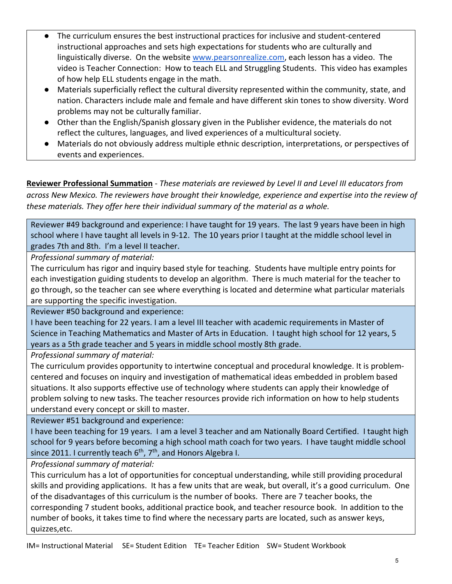- The curriculum ensures the best instructional practices for inclusive and student-centered instructional approaches and sets high expectations for students who are culturally and linguistically diverse. On the website [www.pearsonrealize.com,](http://www.pearsonrealize.com/) each lesson has a video. The video is Teacher Connection: How to teach ELL and Struggling Students. This video has examples of how help ELL students engage in the math.
- Materials superficially reflect the cultural diversity represented within the community, state, and nation. Characters include male and female and have different skin tones to show diversity. Word problems may not be culturally familiar.
- Other than the English/Spanish glossary given in the Publisher evidence, the materials do not reflect the cultures, languages, and lived experiences of a multicultural society.
- Materials do not obviously address multiple ethnic description, interpretations, or perspectives of events and experiences.

**Reviewer Professional Summation** - *These materials are reviewed by Level II and Level III educators from across New Mexico. The reviewers have brought their knowledge, experience and expertise into the review of these materials. They offer here their individual summary of the material as a whole.* 

Reviewer #49 background and experience: I have taught for 19 years. The last 9 years have been in high school where I have taught all levels in 9-12. The 10 years prior I taught at the middle school level in grades 7th and 8th. I'm a level II teacher.

*Professional summary of material:*

The curriculum has rigor and inquiry based style for teaching. Students have multiple entry points for each investigation guiding students to develop an algorithm. There is much material for the teacher to go through, so the teacher can see where everything is located and determine what particular materials are supporting the specific investigation.

Reviewer #50 background and experience:

I have been teaching for 22 years. I am a level III teacher with academic requirements in Master of Science in Teaching Mathematics and Master of Arts in Education. I taught high school for 12 years, 5 years as a 5th grade teacher and 5 years in middle school mostly 8th grade.

*Professional summary of material:*

The curriculum provides opportunity to intertwine conceptual and procedural knowledge. It is problemcentered and focuses on inquiry and investigation of mathematical ideas embedded in problem based situations. It also supports effective use of technology where students can apply their knowledge of problem solving to new tasks. The teacher resources provide rich information on how to help students understand every concept or skill to master.

Reviewer #51 background and experience:

I have been teaching for 19 years. I am a level 3 teacher and am Nationally Board Certified. I taught high school for 9 years before becoming a high school math coach for two years. I have taught middle school since 2011. I currently teach  $6<sup>th</sup>$ ,  $7<sup>th</sup>$ , and Honors Algebra I.

*Professional summary of material:*

This curriculum has a lot of opportunities for conceptual understanding, while still providing procedural skills and providing applications. It has a few units that are weak, but overall, it's a good curriculum. One of the disadvantages of this curriculum is the number of books. There are 7 teacher books, the corresponding 7 student books, additional practice book, and teacher resource book. In addition to the number of books, it takes time to find where the necessary parts are located, such as answer keys, quizzes,etc.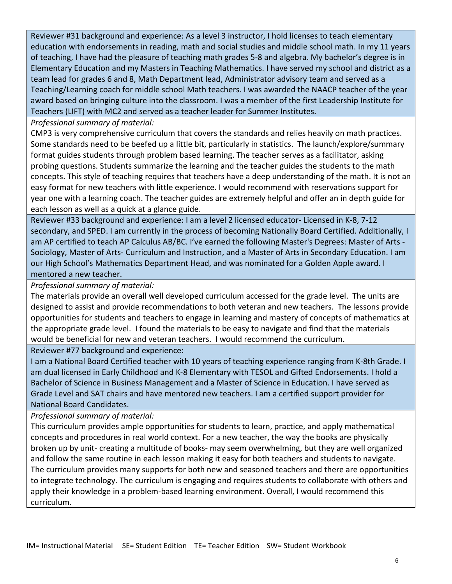Reviewer #31 background and experience: As a level 3 instructor, I hold licenses to teach elementary education with endorsements in reading, math and social studies and middle school math. In my 11 years of teaching, I have had the pleasure of teaching math grades 5-8 and algebra. My bachelor's degree is in Elementary Education and my Masters in Teaching Mathematics. I have served my school and district as a team lead for grades 6 and 8, Math Department lead, Administrator advisory team and served as a Teaching/Learning coach for middle school Math teachers. I was awarded the NAACP teacher of the year award based on bringing culture into the classroom. I was a member of the first Leadership Institute for Teachers (LIFT) with MC2 and served as a teacher leader for Summer Institutes.

### *Professional summary of material:*

CMP3 is very comprehensive curriculum that covers the standards and relies heavily on math practices. Some standards need to be beefed up a little bit, particularly in statistics. The launch/explore/summary format guides students through problem based learning. The teacher serves as a facilitator, asking probing questions. Students summarize the learning and the teacher guides the students to the math concepts. This style of teaching requires that teachers have a deep understanding of the math. It is not an easy format for new teachers with little experience. I would recommend with reservations support for year one with a learning coach. The teacher guides are extremely helpful and offer an in depth guide for each lesson as well as a quick at a glance guide.

Reviewer #33 background and experience: I am a level 2 licensed educator- Licensed in K-8, 7-12 secondary, and SPED. I am currently in the process of becoming Nationally Board Certified. Additionally, I am AP certified to teach AP Calculus AB/BC. I've earned the following Master's Degrees: Master of Arts - Sociology, Master of Arts- Curriculum and Instruction, and a Master of Arts in Secondary Education. I am our High School's Mathematics Department Head, and was nominated for a Golden Apple award. I mentored a new teacher.

### *Professional summary of material:*

The materials provide an overall well developed curriculum accessed for the grade level. The units are designed to assist and provide recommendations to both veteran and new teachers. The lessons provide opportunities for students and teachers to engage in learning and mastery of concepts of mathematics at the appropriate grade level. I found the materials to be easy to navigate and find that the materials would be beneficial for new and veteran teachers. I would recommend the curriculum.

Reviewer #77 background and experience:

I am a National Board Certified teacher with 10 years of teaching experience ranging from K-8th Grade. I am dual licensed in Early Childhood and K-8 Elementary with TESOL and Gifted Endorsements. I hold a Bachelor of Science in Business Management and a Master of Science in Education. I have served as Grade Level and SAT chairs and have mentored new teachers. I am a certified support provider for National Board Candidates.

## *Professional summary of material:*

This curriculum provides ample opportunities for students to learn, practice, and apply mathematical concepts and procedures in real world context. For a new teacher, the way the books are physically broken up by unit- creating a multitude of books- may seem overwhelming, but they are well organized and follow the same routine in each lesson making it easy for both teachers and students to navigate. The curriculum provides many supports for both new and seasoned teachers and there are opportunities to integrate technology. The curriculum is engaging and requires students to collaborate with others and apply their knowledge in a problem-based learning environment. Overall, I would recommend this curriculum.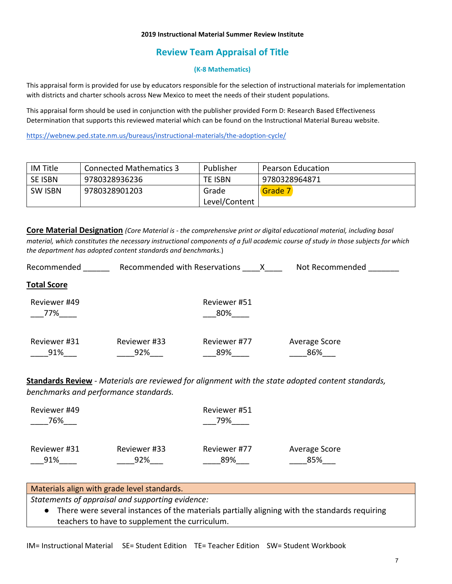#### **2019 Instructional Material Summer Review Institute**

## **Review Team Appraisal of Title**

#### **(K-8 Mathematics)**

This appraisal form is provided for use by educators responsible for the selection of instructional materials for implementation with districts and charter schools across New Mexico to meet the needs of their student populations.

This appraisal form should be used in conjunction with the publisher provided Form D: Research Based Effectiveness Determination that supports this reviewed material which can be found on the Instructional Material Bureau website.

<https://webnew.ped.state.nm.us/bureaus/instructional-materials/the-adoption-cycle/>

| <b>IM Title</b> | <b>Connected Mathematics 3</b> | Publisher      | <b>Pearson Education</b> |
|-----------------|--------------------------------|----------------|--------------------------|
| SE ISBN         | 9780328936236                  | <b>TE ISBN</b> | 9780328964871            |
| SW ISBN         | 9780328901203                  | Grade          | Grade 7                  |
|                 |                                | Level/Content  |                          |

**Core Material Designation** *(Core Material is - the comprehensive print or digital educational material, including basal material, which constitutes the necessary instructional components of a full academic course of study in those subjects for which the department has adopted content standards and benchmarks.*)

| Recommended         | Recommended with Reservations |                     | Not Recommended      |
|---------------------|-------------------------------|---------------------|----------------------|
| <b>Total Score</b>  |                               |                     |                      |
| Reviewer #49<br>77% |                               | Reviewer #51<br>80% |                      |
| Reviewer #31<br>91% | Reviewer #33<br>92%           | Reviewer #77<br>89% | Average Score<br>86% |

**Standards Review** - *Materials are reviewed for alignment with the state adopted content standards, benchmarks and performance standards.*

| Reviewer #49<br>76% |              | Reviewer #51<br>79% |               |
|---------------------|--------------|---------------------|---------------|
| Reviewer #31        | Reviewer #33 | Reviewer #77        | Average Score |
| 91%                 | 92%          | 89%                 | 85%           |

### Materials align with grade level standards.

*Statements of appraisal and supporting evidence:*

● There were several instances of the materials partially aligning with the standards requiring teachers to have to supplement the curriculum.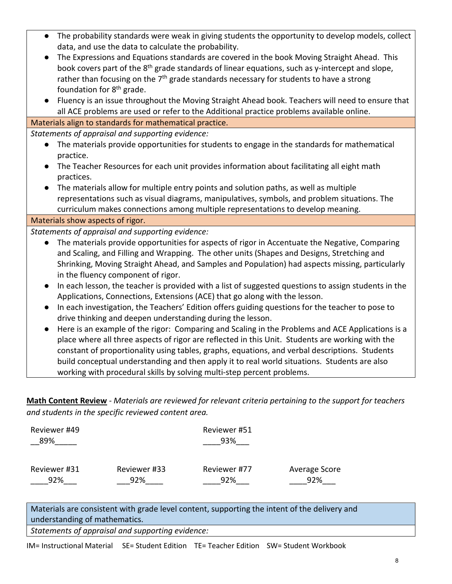| The probability standards were weak in giving students the opportunity to develop models, collect<br>$\bullet$    |
|-------------------------------------------------------------------------------------------------------------------|
| data, and use the data to calculate the probability.                                                              |
| The Expressions and Equations standards are covered in the book Moving Straight Ahead. This<br>$\bullet$          |
| book covers part of the 8 <sup>th</sup> grade standards of linear equations, such as y-intercept and slope,       |
| rather than focusing on the $7th$ grade standards necessary for students to have a strong                         |
| foundation for 8 <sup>th</sup> grade.                                                                             |
| Fluency is an issue throughout the Moving Straight Ahead book. Teachers will need to ensure that                  |
| all ACE problems are used or refer to the Additional practice problems available online.                          |
| Materials align to standards for mathematical practice.                                                           |
| Statements of appraisal and supporting evidence:                                                                  |
| The materials provide opportunities for students to engage in the standards for mathematical<br>$\bullet$         |
| practice.                                                                                                         |
| The Teacher Resources for each unit provides information about facilitating all eight math<br>$\bullet$           |
| practices.                                                                                                        |
| The materials allow for multiple entry points and solution paths, as well as multiple                             |
| representations such as visual diagrams, manipulatives, symbols, and problem situations. The                      |
| curriculum makes connections among multiple representations to develop meaning.                                   |
| Materials show aspects of rigor.                                                                                  |
| Statements of appraisal and supporting evidence:                                                                  |
| The materials provide opportunities for aspects of rigor in Accentuate the Negative, Comparing<br>$\bullet$       |
| and Scaling, and Filling and Wrapping. The other units (Shapes and Designs, Stretching and                        |
| Shrinking, Moving Straight Ahead, and Samples and Population) had aspects missing, particularly                   |
| in the fluency component of rigor.                                                                                |
| In each lesson, the teacher is provided with a list of suggested questions to assign students in the<br>$\bullet$ |
| Applications, Connections, Extensions (ACE) that go along with the lesson.                                        |
| In each investigation, the Teachers' Edition offers guiding questions for the teacher to pose to<br>$\bullet$     |
| drive thinking and deepen understanding during the lesson.                                                        |
| Here is an example of the rigor: Comparing and Scaling in the Problems and ACE Applications is a<br>$\bullet$     |
| place where all three aspects of rigor are reflected in this Unit. Students are working with the                  |
| constant of proportionality using tables, graphs, equations, and verbal descriptions. Students                    |

**Math Content Review** - *Materials are reviewed for relevant criteria pertaining to the support for teachers and students in the specific reviewed content area.*

build conceptual understanding and then apply it to real world situations. Students are also

| Reviewer #49<br>89% |              | Reviewer #51<br>93% |               |
|---------------------|--------------|---------------------|---------------|
| Reviewer #31        | Reviewer #33 | Reviewer #77        | Average Score |
| 92%                 | 92%          | 92%                 | 92%           |

working with procedural skills by solving multi-step percent problems.

Materials are consistent with grade level content, supporting the intent of the delivery and understanding of mathematics.

*Statements of appraisal and supporting evidence:*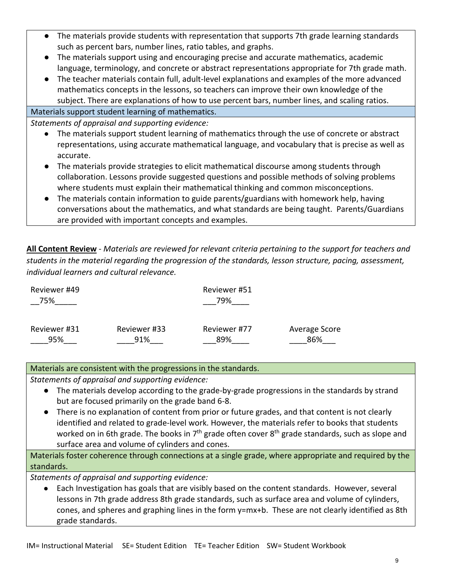- The materials provide students with representation that supports 7th grade learning standards such as percent bars, number lines, ratio tables, and graphs.
- The materials support using and encouraging precise and accurate mathematics, academic language, terminology, and concrete or abstract representations appropriate for 7th grade math.
- The teacher materials contain full, adult-level explanations and examples of the more advanced mathematics concepts in the lessons, so teachers can improve their own knowledge of the subject. There are explanations of how to use percent bars, number lines, and scaling ratios.

## Materials support student learning of mathematics.

*Statements of appraisal and supporting evidence:*

- The materials support student learning of mathematics through the use of concrete or abstract representations, using accurate mathematical language, and vocabulary that is precise as well as accurate.
- The materials provide strategies to elicit mathematical discourse among students through collaboration. Lessons provide suggested questions and possible methods of solving problems where students must explain their mathematical thinking and common misconceptions.
- The materials contain information to guide parents/guardians with homework help, having conversations about the mathematics, and what standards are being taught. Parents/Guardians are provided with important concepts and examples.

**All Content Review** - *Materials are reviewed for relevant criteria pertaining to the support for teachers and students in the material regarding the progression of the standards, lesson structure, pacing, assessment, individual learners and cultural relevance.*

| Reviewer #49<br>75% |              | Reviewer #51<br>79% |               |  |
|---------------------|--------------|---------------------|---------------|--|
| Reviewer #31        | Reviewer #33 | Reviewer #77        | Average Score |  |
| 95%                 | 91%          | 89%                 | 86%           |  |

## Materials are consistent with the progressions in the standards.

*Statements of appraisal and supporting evidence:*

- The materials develop according to the grade-by-grade progressions in the standards by strand but are focused primarily on the grade band 6-8.
- There is no explanation of content from prior or future grades, and that content is not clearly identified and related to grade-level work. However, the materials refer to books that students worked on in 6th grade. The books in  $7<sup>th</sup>$  grade often cover  $8<sup>th</sup>$  grade standards, such as slope and surface area and volume of cylinders and cones.

Materials foster coherence through connections at a single grade, where appropriate and required by the standards.

*Statements of appraisal and supporting evidence:*

● Each Investigation has goals that are visibly based on the content standards. However, several lessons in 7th grade address 8th grade standards, such as surface area and volume of cylinders, cones, and spheres and graphing lines in the form y=mx+b. These are not clearly identified as 8th grade standards.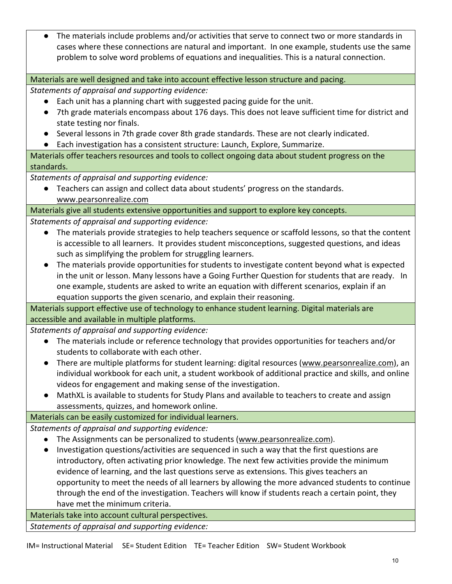● The materials include problems and/or activities that serve to connect two or more standards in cases where these connections are natural and important. In one example, students use the same problem to solve word problems of equations and inequalities. This is a natural connection.

Materials are well designed and take into account effective lesson structure and pacing.

*Statements of appraisal and supporting evidence:*

- Each unit has a planning chart with suggested pacing guide for the unit.
- 7th grade materials encompass about 176 days. This does not leave sufficient time for district and state testing nor finals.
- Several lessons in 7th grade cover 8th grade standards. These are not clearly indicated.
- Each investigation has a consistent structure: Launch, Explore, Summarize.

Materials offer teachers resources and tools to collect ongoing data about student progress on the standards.

*Statements of appraisal and supporting evidence:*

● Teachers can assign and collect data about students' progress on the standards[.](http://www.pearsonrealize.com/) [www.pearsonrealize.com](http://www.pearsonrealize.com/)

Materials give all students extensive opportunities and support to explore key concepts.

*Statements of appraisal and supporting evidence:*

- The materials provide strategies to help teachers sequence or scaffold lessons, so that the content is accessible to all learners. It provides student misconceptions, suggested questions, and ideas such as simplifying the problem for struggling learners.
- The materials provide opportunities for students to investigate content beyond what is expected in the unit or lesson. Many lessons have a Going Further Question for students that are ready. In one example, students are asked to write an equation with different scenarios, explain if an equation supports the given scenario, and explain their reasoning.

Materials support effective use of technology to enhance student learning. Digital materials are accessible and available in multiple platforms.

*Statements of appraisal and supporting evidence:*

- The materials include or reference technology that provides opportunities for teachers and/or students to collaborate with each other.
- There are multiple platforms for student learning: digital resources [\(www.pearsonrealize.com\)](http://www.pearsonrealize.com/), an individual workbook for each unit, a student workbook of additional practice and skills, and online videos for engagement and making sense of the investigation.
- MathXL is available to students for Study Plans and available to teachers to create and assign assessments, quizzes, and homework online.

Materials can be easily customized for individual learners.

*Statements of appraisal and supporting evidence:*

- The Assignments can be personalized to students [\(www.pearsonrealize.com\)](http://www.pearsonrealize.com/).
- Investigation questions/activities are sequenced in such a way that the first questions are introductory, often activating prior knowledge. The next few activities provide the minimum evidence of learning, and the last questions serve as extensions. This gives teachers an opportunity to meet the needs of all learners by allowing the more advanced students to continue through the end of the investigation. Teachers will know if students reach a certain point, they have met the minimum criteria.

Materials take into account cultural perspectives.

*Statements of appraisal and supporting evidence:*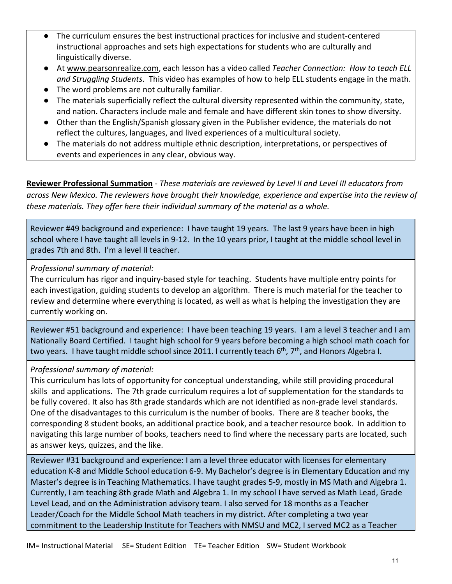- The curriculum ensures the best instructional practices for inclusive and student-centered instructional approaches and sets high expectations for students who are culturally and linguistically diverse.
- At [www.pearsonrealize.com,](http://www.pearsonrealize.com/) each lesson has a video called *Teacher Connection: How to teach ELL and Struggling Students*. This video has examples of how to help ELL students engage in the math.
- The word problems are not culturally familiar.
- The materials superficially reflect the cultural diversity represented within the community, state, and nation. Characters include male and female and have different skin tones to show diversity.
- Other than the English/Spanish glossary given in the Publisher evidence, the materials do not reflect the cultures, languages, and lived experiences of a multicultural society.
- The materials do not address multiple ethnic description, interpretations, or perspectives of events and experiences in any clear, obvious way.

**Reviewer Professional Summation** - *These materials are reviewed by Level II and Level III educators from across New Mexico. The reviewers have brought their knowledge, experience and expertise into the review of these materials. They offer here their individual summary of the material as a whole.* 

Reviewer #49 background and experience: I have taught 19 years. The last 9 years have been in high school where I have taught all levels in 9-12. In the 10 years prior, I taught at the middle school level in grades 7th and 8th. I'm a level II teacher.

*Professional summary of material:*

The curriculum has rigor and inquiry-based style for teaching. Students have multiple entry points for each investigation, guiding students to develop an algorithm. There is much material for the teacher to review and determine where everything is located, as well as what is helping the investigation they are currently working on.

Reviewer #51 background and experience: I have been teaching 19 years. I am a level 3 teacher and I am Nationally Board Certified. I taught high school for 9 years before becoming a high school math coach for two years. I have taught middle school since 2011. I currently teach  $6<sup>th</sup>$ ,  $7<sup>th</sup>$ , and Honors Algebra I.

# *Professional summary of material:*

This curriculum has lots of opportunity for conceptual understanding, while still providing procedural skills and applications. The 7th grade curriculum requires a lot of supplementation for the standards to be fully covered. It also has 8th grade standards which are not identified as non-grade level standards. One of the disadvantages to this curriculum is the number of books. There are 8 teacher books, the corresponding 8 student books, an additional practice book, and a teacher resource book. In addition to navigating this large number of books, teachers need to find where the necessary parts are located, such as answer keys, quizzes, and the like.

Reviewer #31 background and experience: I am a level three educator with licenses for elementary education K-8 and Middle School education 6-9. My Bachelor's degree is in Elementary Education and my Master's degree is in Teaching Mathematics. I have taught grades 5-9, mostly in MS Math and Algebra 1. Currently, I am teaching 8th grade Math and Algebra 1. In my school I have served as Math Lead, Grade Level Lead, and on the Administration advisory team. I also served for 18 months as a Teacher Leader/Coach for the Middle School Math teachers in my district. After completing a two year commitment to the Leadership Institute for Teachers with NMSU and MC2, I served MC2 as a Teacher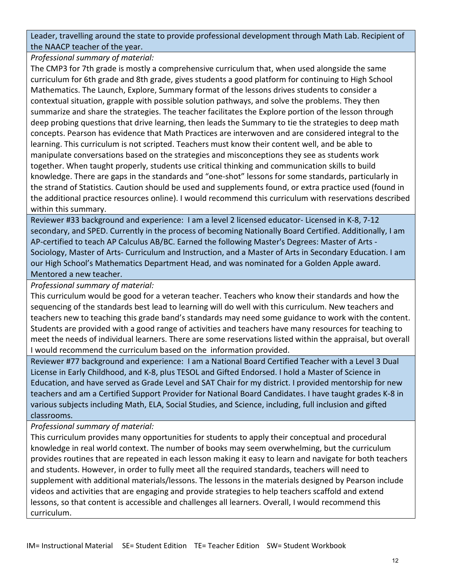Leader, travelling around the state to provide professional development through Math Lab. Recipient of the NAACP teacher of the year.

*Professional summary of material:*

The CMP3 for 7th grade is mostly a comprehensive curriculum that, when used alongside the same curriculum for 6th grade and 8th grade, gives students a good platform for continuing to High School Mathematics. The Launch, Explore, Summary format of the lessons drives students to consider a contextual situation, grapple with possible solution pathways, and solve the problems. They then summarize and share the strategies. The teacher facilitates the Explore portion of the lesson through deep probing questions that drive learning, then leads the Summary to tie the strategies to deep math concepts. Pearson has evidence that Math Practices are interwoven and are considered integral to the learning. This curriculum is not scripted. Teachers must know their content well, and be able to manipulate conversations based on the strategies and misconceptions they see as students work together. When taught properly, students use critical thinking and communication skills to build knowledge. There are gaps in the standards and "one-shot" lessons for some standards, particularly in the strand of Statistics. Caution should be used and supplements found, or extra practice used (found in the additional practice resources online). I would recommend this curriculum with reservations described within this summary.

Reviewer #33 background and experience: I am a level 2 licensed educator- Licensed in K-8, 7-12 secondary, and SPED. Currently in the process of becoming Nationally Board Certified. Additionally, I am AP-certified to teach AP Calculus AB/BC. Earned the following Master's Degrees: Master of Arts - Sociology, Master of Arts- Curriculum and Instruction, and a Master of Arts in Secondary Education. I am our High School's Mathematics Department Head, and was nominated for a Golden Apple award. Mentored a new teacher.

*Professional summary of material:*

This curriculum would be good for a veteran teacher. Teachers who know their standards and how the sequencing of the standards best lead to learning will do well with this curriculum. New teachers and teachers new to teaching this grade band's standards may need some guidance to work with the content. Students are provided with a good range of activities and teachers have many resources for teaching to meet the needs of individual learners. There are some reservations listed within the appraisal, but overall I would recommend the curriculum based on the information provided.

Reviewer #77 background and experience: I am a National Board Certified Teacher with a Level 3 Dual License in Early Childhood, and K-8, plus TESOL and Gifted Endorsed. I hold a Master of Science in Education, and have served as Grade Level and SAT Chair for my district. I provided mentorship for new teachers and am a Certified Support Provider for National Board Candidates. I have taught grades K-8 in various subjects including Math, ELA, Social Studies, and Science, including, full inclusion and gifted classrooms.

*Professional summary of material:*

This curriculum provides many opportunities for students to apply their conceptual and procedural knowledge in real world context. The number of books may seem overwhelming, but the curriculum provides routines that are repeated in each lesson making it easy to learn and navigate for both teachers and students. However, in order to fully meet all the required standards, teachers will need to supplement with additional materials/lessons. The lessons in the materials designed by Pearson include videos and activities that are engaging and provide strategies to help teachers scaffold and extend lessons, so that content is accessible and challenges all learners. Overall, I would recommend this curriculum.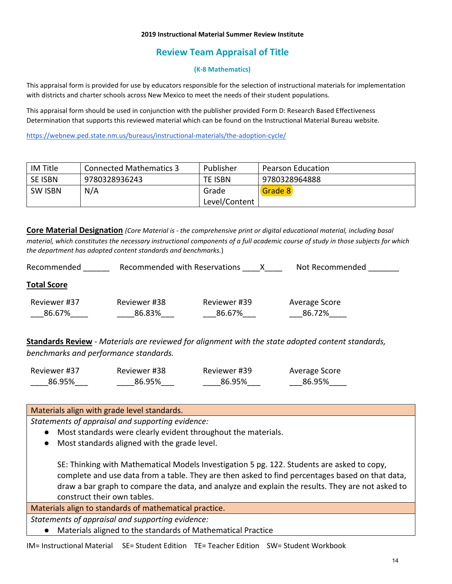#### **2019 Instructional Material Summer Review Institute**

# **Review Team Appraisal of Title**

#### **(K-8 Mathematics)**

This appraisal form is provided for use by educators responsible for the selection of instructional materials for implementation with districts and charter schools across New Mexico to meet the needs of their student populations.

This appraisal form should be used in conjunction with the publisher provided Form D: Research Based Effectiveness Determination that supports this reviewed material which can be found on the Instructional Material Bureau website.

<https://webnew.ped.state.nm.us/bureaus/instructional-materials/the-adoption-cycle/>

| <b>IM Title</b> | <b>Connected Mathematics 3</b> | Publisher     | <b>Pearson Education</b> |
|-----------------|--------------------------------|---------------|--------------------------|
| SE ISBN         | 9780328936243                  | TE ISBN       | 9780328964888            |
| <b>SW ISBN</b>  | N/A                            | Grade         | Grade 8                  |
|                 |                                | Level/Content |                          |

**Core Material Designation** *(Core Material is - the comprehensive print or digital educational material, including basal material, which constitutes the necessary instructional components of a full academic course of study in those subjects for which the department has adopted content standards and benchmarks.*)

| Recommended            | Recommended with Reservations |                        | Not Recommended         |
|------------------------|-------------------------------|------------------------|-------------------------|
| <b>Total Score</b>     |                               |                        |                         |
| Reviewer #37<br>86.67% | Reviewer #38<br>86.83%        | Reviewer #39<br>86.67% | Average Score<br>86.72% |

**Standards Review** - *Materials are reviewed for alignment with the state adopted content standards, benchmarks and performance standards.*

| Reviewer #37 | Reviewer #38 | Reviewer #39 | Average Score |
|--------------|--------------|--------------|---------------|
| 86.95%       | 86.95%       | 86.95%       | 86.95%        |

#### Materials align with grade level standards.

*Statements of appraisal and supporting evidence:*

- Most standards were clearly evident throughout the materials.
- Most standards aligned with the grade level.

SE: Thinking with Mathematical Models Investigation 5 pg. 122. Students are asked to copy, complete and use data from a table. They are then asked to find percentages based on that data, draw a bar graph to compare the data, and analyze and explain the results. They are not asked to construct their own tables.

Materials align to standards of mathematical practice.

*Statements of appraisal and supporting evidence:*

● Materials aligned to the standards of Mathematical Practice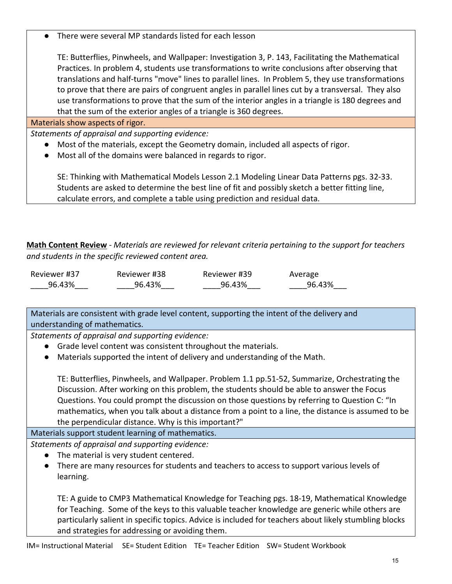● There were several MP standards listed for each lesson

TE: Butterflies, Pinwheels, and Wallpaper: Investigation 3, P. 143, Facilitating the Mathematical Practices. In problem 4, students use transformations to write conclusions after observing that translations and half-turns "move" lines to parallel lines. In Problem 5, they use transformations to prove that there are pairs of congruent angles in parallel lines cut by a transversal. They also use transformations to prove that the sum of the interior angles in a triangle is 180 degrees and that the sum of the exterior angles of a triangle is 360 degrees.

### Materials show aspects of rigor.

*Statements of appraisal and supporting evidence:*

- Most of the materials, except the Geometry domain, included all aspects of rigor.
- Most all of the domains were balanced in regards to rigor.

SE: Thinking with Mathematical Models Lesson 2.1 Modeling Linear Data Patterns pgs. 32-33. Students are asked to determine the best line of fit and possibly sketch a better fitting line, calculate errors, and complete a table using prediction and residual data.

**Math Content Review** - *Materials are reviewed for relevant criteria pertaining to the support for teachers and students in the specific reviewed content area.*

| Reviewer #37 | Reviewer #38 | Reviewer #39 | Average |
|--------------|--------------|--------------|---------|
| 96.43%       | 96.43%       | 96.43%       | 96.43%  |

Materials are consistent with grade level content, supporting the intent of the delivery and understanding of mathematics.

*Statements of appraisal and supporting evidence:*

- Grade level content was consistent throughout the materials.
- Materials supported the intent of delivery and understanding of the Math.

TE: Butterflies, Pinwheels, and Wallpaper. Problem 1.1 pp.51-52, Summarize, Orchestrating the Discussion. After working on this problem, the students should be able to answer the Focus Questions. You could prompt the discussion on those questions by referring to Question C: "In mathematics, when you talk about a distance from a point to a line, the distance is assumed to be the perpendicular distance. Why is this important?"

Materials support student learning of mathematics.

*Statements of appraisal and supporting evidence:*

- The material is very student centered.
- There are many resources for students and teachers to access to support various levels of learning.

TE: A guide to CMP3 Mathematical Knowledge for Teaching pgs. 18-19, Mathematical Knowledge for Teaching. Some of the keys to this valuable teacher knowledge are generic while others are particularly salient in specific topics. Advice is included for teachers about likely stumbling blocks and strategies for addressing or avoiding them.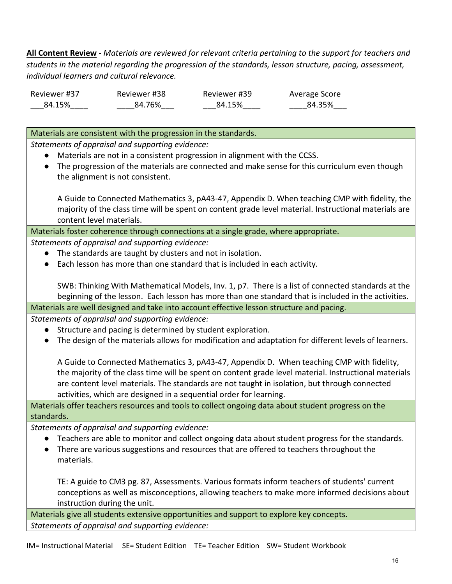**All Content Review** - *Materials are reviewed for relevant criteria pertaining to the support for teachers and students in the material regarding the progression of the standards, lesson structure, pacing, assessment, individual learners and cultural relevance.*

| Reviewer #37 | Reviewer #38 | Reviewer #39 | Average Score |
|--------------|--------------|--------------|---------------|
| 84.15%       | 84.76%       | 84.15%       | 84.35%        |

Materials are consistent with the progression in the standards.

*Statements of appraisal and supporting evidence:*

- Materials are not in a consistent progression in alignment with the CCSS.
- The progression of the materials are connected and make sense for this curriculum even though the alignment is not consistent.

A Guide to Connected Mathematics 3, pA43-47, Appendix D. When teaching CMP with fidelity, the majority of the class time will be spent on content grade level material. Instructional materials are content level materials.

Materials foster coherence through connections at a single grade, where appropriate.

*Statements of appraisal and supporting evidence:*

- The standards are taught by clusters and not in isolation.
- Each lesson has more than one standard that is included in each activity.

SWB: Thinking With Mathematical Models, Inv. 1, p7. There is a list of connected standards at the beginning of the lesson. Each lesson has more than one standard that is included in the activities.

Materials are well designed and take into account effective lesson structure and pacing.

*Statements of appraisal and supporting evidence:*

- Structure and pacing is determined by student exploration.
- The design of the materials allows for modification and adaptation for different levels of learners.

A Guide to Connected Mathematics 3, pA43-47, Appendix D. When teaching CMP with fidelity, the majority of the class time will be spent on content grade level material. Instructional materials are content level materials. The standards are not taught in isolation, but through connected activities, which are designed in a sequential order for learning.

Materials offer teachers resources and tools to collect ongoing data about student progress on the standards.

*Statements of appraisal and supporting evidence:*

- Teachers are able to monitor and collect ongoing data about student progress for the standards.
- There are various suggestions and resources that are offered to teachers throughout the materials.

TE: A guide to CM3 pg. 87, Assessments. Various formats inform teachers of students' current conceptions as well as misconceptions, allowing teachers to make more informed decisions about instruction during the unit.

Materials give all students extensive opportunities and support to explore key concepts. *Statements of appraisal and supporting evidence:*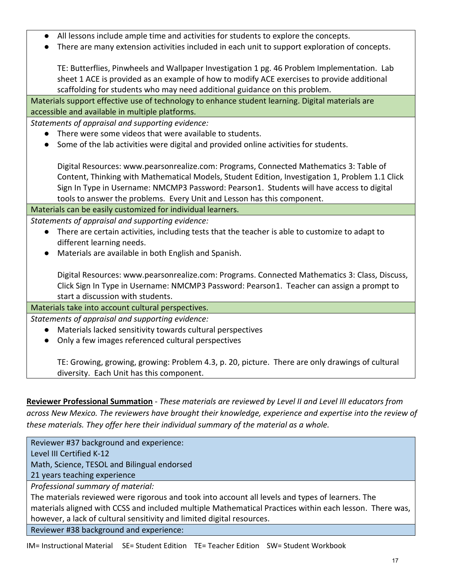- All lessons include ample time and activities for students to explore the concepts.
- There are many extension activities included in each unit to support exploration of concepts.

TE: Butterflies, Pinwheels and Wallpaper Investigation 1 pg. 46 Problem Implementation. Lab sheet 1 ACE is provided as an example of how to modify ACE exercises to provide additional scaffolding for students who may need additional guidance on this problem.

Materials support effective use of technology to enhance student learning. Digital materials are accessible and available in multiple platforms.

*Statements of appraisal and supporting evidence:*

- There were some videos that were available to students.
- Some of the lab activities were digital and provided online activities for students.

Digital Resources: www.pearsonrealize.com: Programs, Connected Mathematics 3: Table of Content, Thinking with Mathematical Models, Student Edition, Investigation 1, Problem 1.1 Click Sign In Type in Username: NMCMP3 Password: Pearson1. Students will have access to digital tools to answer the problems. Every Unit and Lesson has this component.

Materials can be easily customized for individual learners.

*Statements of appraisal and supporting evidence:*

- There are certain activities, including tests that the teacher is able to customize to adapt to different learning needs.
- Materials are available in both English and Spanish.

Digital Resources: www.pearsonrealize.com: Programs. Connected Mathematics 3: Class, Discuss, Click Sign In Type in Username: NMCMP3 Password: Pearson1. Teacher can assign a prompt to start a discussion with students.

Materials take into account cultural perspectives.

*Statements of appraisal and supporting evidence:*

- Materials lacked sensitivity towards cultural perspectives
- Only a few images referenced cultural perspectives

TE: Growing, growing, growing: Problem 4.3, p. 20, picture. There are only drawings of cultural diversity. Each Unit has this component.

**Reviewer Professional Summation** - *These materials are reviewed by Level II and Level III educators from across New Mexico. The reviewers have brought their knowledge, experience and expertise into the review of these materials. They offer here their individual summary of the material as a whole.* 

Reviewer #37 background and experience: Level III Certified K-12

Math, Science, TESOL and Bilingual endorsed

21 years teaching experience

*Professional summary of material:*

The materials reviewed were rigorous and took into account all levels and types of learners. The materials aligned with CCSS and included multiple Mathematical Practices within each lesson. There was, however, a lack of cultural sensitivity and limited digital resources.

Reviewer #38 background and experience: